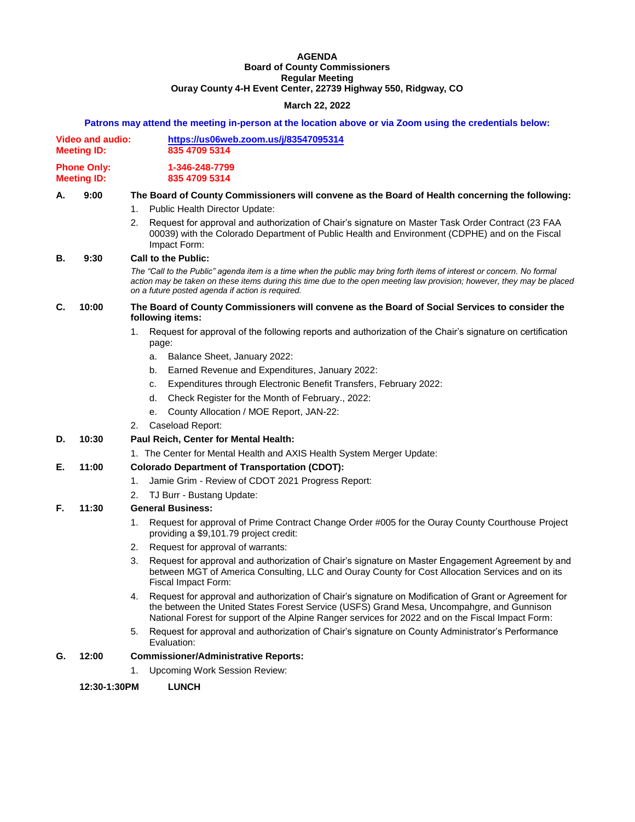### **AGENDA Board of County Commissioners Regular Meeting Ouray County 4-H Event Center, 22739 Highway 550, Ridgway, CO**

## **March 22, 2022**

### **Patrons may attend the meeting in-person at the location above or via Zoom using the credentials below:**

| Video and audio:   | https://us06web.zoom.us/j/83547095314 |
|--------------------|---------------------------------------|
| <b>Meeting ID:</b> | 835 4709 5314                         |
| <b>Phone Only:</b> | 1-346-248-7799                        |
| <b>Meeting ID:</b> | 835 4709 5314                         |

## **A. 9:00 The Board of County Commissioners will convene as the Board of Health concerning the following:**

- 1. Public Health Director Update:
- 2. Request for approval and authorization of Chair's signature on Master Task Order Contract (23 FAA 00039) with the Colorado Department of Public Health and Environment (CDPHE) and on the Fiscal Impact Form:

### **B. 9:30 Call to the Public:**

*The "Call to the Public" agenda item is a time when the public may bring forth items of interest or concern. No formal action may be taken on these items during this time due to the open meeting law provision; however, they may be placed on a future posted agenda if action is required.*

### **C. 10:00 The Board of County Commissioners will convene as the Board of Social Services to consider the following items:**

- 1. Request for approval of the following reports and authorization of the Chair's signature on certification page:
	- a. Balance Sheet, January 2022:
	- b. Earned Revenue and Expenditures, January 2022:
	- c. Expenditures through Electronic Benefit Transfers, February 2022:
	- d. Check Register for the Month of February., 2022:
	- e. County Allocation / MOE Report, JAN-22:
- 2. Caseload Report:

# **D. 10:30 Paul Reich, Center for Mental Health:**

1. The Center for Mental Health and AXIS Health System Merger Update:

# **E. 11:00 Colorado Department of Transportation (CDOT):**

- 1. Jamie Grim Review of CDOT 2021 Progress Report:
- 2. TJ Burr Bustang Update:

# **F. 11:30 General Business:**

- 1. Request for approval of Prime Contract Change Order #005 for the Ouray County Courthouse Project providing a \$9,101.79 project credit:
- 2. Request for approval of warrants:
- 3. Request for approval and authorization of Chair's signature on Master Engagement Agreement by and between MGT of America Consulting, LLC and Ouray County for Cost Allocation Services and on its Fiscal Impact Form:
- 4. Request for approval and authorization of Chair's signature on Modification of Grant or Agreement for the between the United States Forest Service (USFS) Grand Mesa, Uncompahgre, and Gunnison National Forest for support of the Alpine Ranger services for 2022 and on the Fiscal Impact Form:
- 5. Request for approval and authorization of Chair's signature on County Administrator's Performance Evaluation:

## **G. 12:00 Commissioner/Administrative Reports:**

1. Upcoming Work Session Review:

### **12:30-1:30PM LUNCH**